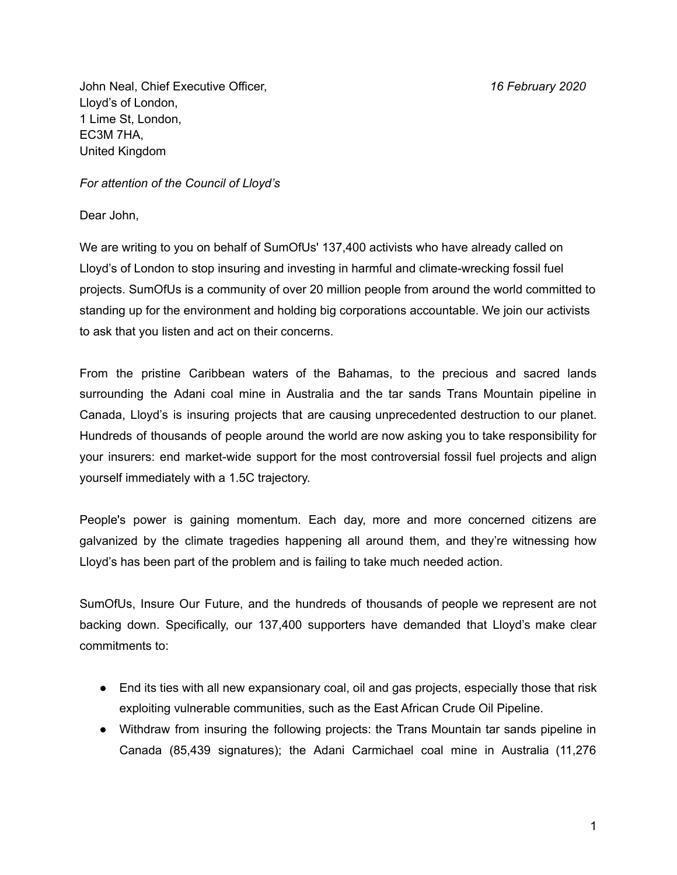John Neal, Chief Executive Officer, *16 February 2020* Lloyd's of London, 1 Lime St, London, EC3M 7HA, United Kingdom

*For attention of the Council of Lloyd's*

Dear John,

We are writing to you on behalf of SumOfUs' 137,400 activists who have already called on Lloyd's of London to stop insuring and investing in harmful and climate-wrecking fossil fuel projects. SumOfUs is a community of over 20 million people from around the world committed to standing up for the environment and holding big corporations accountable. We join our activists to ask that you listen and act on their concerns.

From the pristine Caribbean waters of the Bahamas, to the precious and sacred lands surrounding the Adani coal mine in Australia and the tar sands Trans Mountain pipeline in Canada, Lloyd's is insuring projects that are causing unprecedented destruction to our planet. Hundreds of thousands of people around the world are now asking you to take responsibility for your insurers: end market-wide support for the most controversial fossil fuel projects and align yourself immediately with a 1.5C trajectory.

People's power is gaining momentum. Each day, more and more concerned citizens are galvanized by the climate tragedies happening all around them, and they're witnessing how Lloyd's has been part of the problem and is failing to take much needed action.

SumOfUs, Insure Our Future, and the hundreds of thousands of people we represent are not backing down. Specifically, our 137,400 supporters have demanded that Lloyd's make clear commitments to:

- End its ties with all new expansionary coal, oil and gas projects, especially those that risk exploiting vulnerable communities, such as the East African Crude Oil Pipeline.
- Withdraw from insuring the following projects: the Trans Mountain tar sands pipeline in Canada (85,439 signatures); the Adani Carmichael coal mine in Australia (11,276